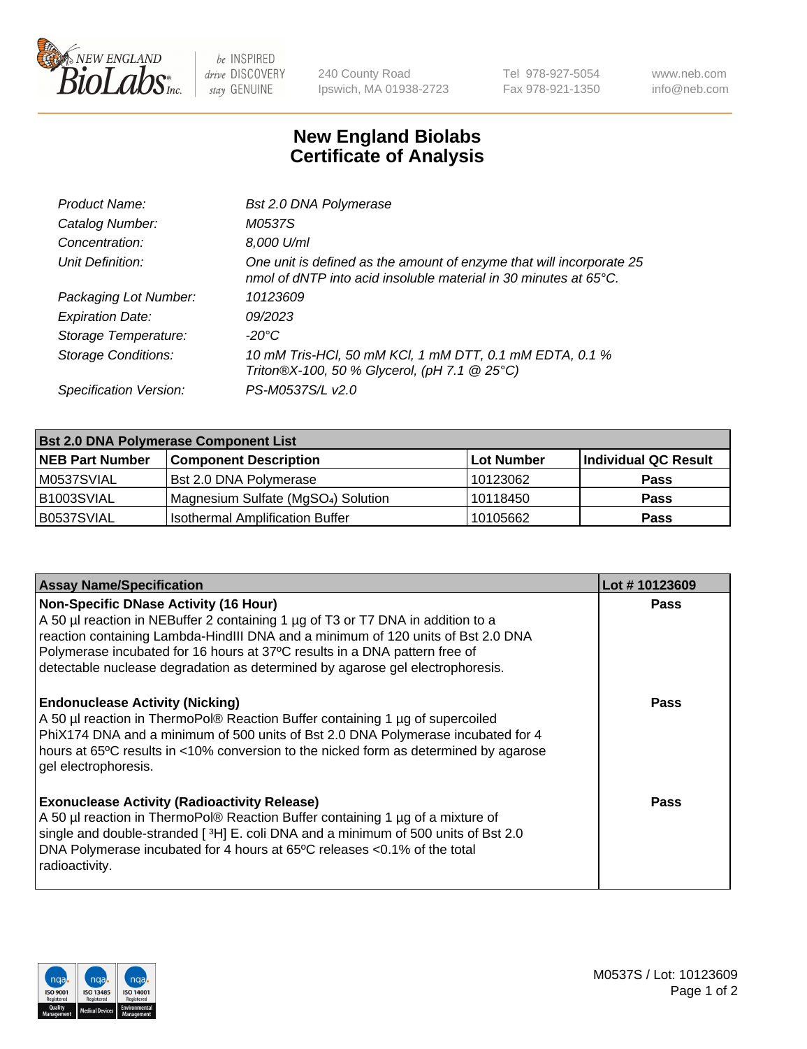

 $be$  INSPIRED drive DISCOVERY stay GENUINE

240 County Road Ipswich, MA 01938-2723 Tel 978-927-5054 Fax 978-921-1350 www.neb.com info@neb.com

## **New England Biolabs Certificate of Analysis**

| Bst 2.0 DNA Polymerase                                                                                                                   |
|------------------------------------------------------------------------------------------------------------------------------------------|
| M0537S                                                                                                                                   |
| 8,000 U/ml                                                                                                                               |
| One unit is defined as the amount of enzyme that will incorporate 25<br>nmol of dNTP into acid insoluble material in 30 minutes at 65°C. |
| 10123609                                                                                                                                 |
| 09/2023                                                                                                                                  |
| -20°C                                                                                                                                    |
| 10 mM Tris-HCl, 50 mM KCl, 1 mM DTT, 0.1 mM EDTA, 0.1 %<br>Triton®X-100, 50 % Glycerol, (pH 7.1 @ 25°C)                                  |
| PS-M0537S/L v2.0                                                                                                                         |
|                                                                                                                                          |

| <b>Bst 2.0 DNA Polymerase Component List</b> |                                                 |                   |                      |  |  |
|----------------------------------------------|-------------------------------------------------|-------------------|----------------------|--|--|
| <b>NEB Part Number</b>                       | <b>Component Description</b>                    | <b>Lot Number</b> | Individual QC Result |  |  |
| M0537SVIAL                                   | Bst 2.0 DNA Polymerase                          | 10123062          | <b>Pass</b>          |  |  |
| B1003SVIAL                                   | Magnesium Sulfate (MgSO <sub>4</sub> ) Solution | 10118450          | <b>Pass</b>          |  |  |
| B0537SVIAL                                   | <b>Isothermal Amplification Buffer</b>          | 10105662          | <b>Pass</b>          |  |  |

| <b>Assay Name/Specification</b>                                                                                                                                                                                                                                                                                                                                                    | Lot #10123609 |
|------------------------------------------------------------------------------------------------------------------------------------------------------------------------------------------------------------------------------------------------------------------------------------------------------------------------------------------------------------------------------------|---------------|
| <b>Non-Specific DNase Activity (16 Hour)</b><br>A 50 µl reaction in NEBuffer 2 containing 1 µg of T3 or T7 DNA in addition to a<br>reaction containing Lambda-HindIII DNA and a minimum of 120 units of Bst 2.0 DNA<br>Polymerase incubated for 16 hours at 37°C results in a DNA pattern free of<br>detectable nuclease degradation as determined by agarose gel electrophoresis. | <b>Pass</b>   |
| <b>Endonuclease Activity (Nicking)</b><br>A 50 µl reaction in ThermoPol® Reaction Buffer containing 1 µg of supercoiled<br>PhiX174 DNA and a minimum of 500 units of Bst 2.0 DNA Polymerase incubated for 4<br>hours at 65°C results in <10% conversion to the nicked form as determined by agarose<br>gel electrophoresis.                                                        | Pass          |
| <b>Exonuclease Activity (Radioactivity Release)</b><br>A 50 µl reaction in ThermoPol® Reaction Buffer containing 1 µg of a mixture of<br>single and double-stranded [3H] E. coli DNA and a minimum of 500 units of Bst 2.0<br>DNA Polymerase incubated for 4 hours at 65°C releases <0.1% of the total<br>radioactivity.                                                           | Pass          |